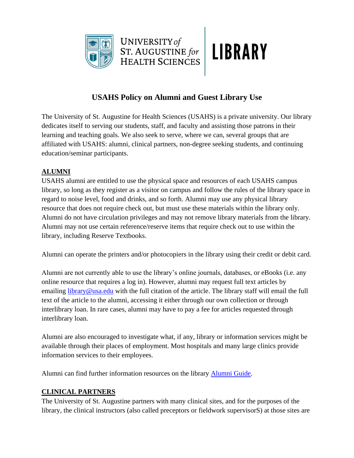



# **USAHS Policy on Alumni and Guest Library Use**

The University of St. Augustine for Health Sciences (USAHS) is a private university. Our library dedicates itself to serving our students, staff, and faculty and assisting those patrons in their learning and teaching goals. We also seek to serve, where we can, several groups that are affiliated with USAHS: alumni, clinical partners, non-degree seeking students, and continuing education/seminar participants.

#### **ALUMNI**

USAHS alumni are entitled to use the physical space and resources of each USAHS campus library, so long as they register as a visitor on campus and follow the rules of the library space in regard to noise level, food and drinks, and so forth. Alumni may use any physical library resource that does not require check out, but must use these materials within the library only. Alumni do not have circulation privileges and may not remove library materials from the library. Alumni may not use certain reference/reserve items that require check out to use within the library, including Reserve Textbooks.

Alumni can operate the printers and/or photocopiers in the library using their credit or debit card.

Alumni are not currently able to use the library's online journals, databases, or eBooks (i.e. any online resource that requires a log in). However, alumni may request full text articles by emailing [library@usa.edu](mailto:library@usa.edu) with the full citation of the article. The library staff will email the full text of the article to the alumni, accessing it either through our own collection or through interlibrary loan. In rare cases, alumni may have to pay a fee for articles requested through interlibrary loan.

Alumni are also encouraged to investigate what, if any, library or information services might be available through their places of employment. Most hospitals and many large clinics provide information services to their employees.

Alumni can find further information resources on the library [Alumni Guide.](https://library.usa.edu/alumni)

## **CLINICAL PARTNERS**

The University of St. Augustine partners with many clinical sites, and for the purposes of the library, the clinical instructors (also called preceptors or fieldwork supervisorS) at those sites are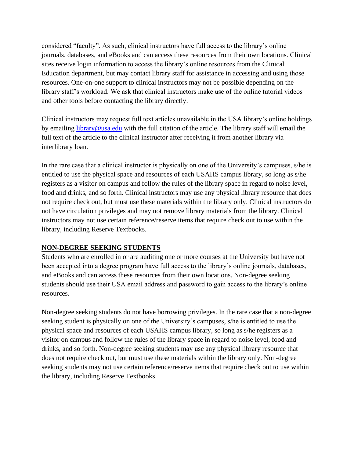considered "faculty". As such, clinical instructors have full access to the library's online journals, databases, and eBooks and can access these resources from their own locations. Clinical sites receive login information to access the library's online resources from the Clinical Education department, but may contact library staff for assistance in accessing and using those resources. One-on-one support to clinical instructors may not be possible depending on the library staff's workload. We ask that clinical instructors make use of the online tutorial videos and other tools before contacting the library directly.

Clinical instructors may request full text articles unavailable in the USA library's online holdings by emailing [library@usa.edu](mailto:library@usa.edu) with the full citation of the article. The library staff will email the full text of the article to the clinical instructor after receiving it from another library via interlibrary loan.

In the rare case that a clinical instructor is physically on one of the University's campuses, s/he is entitled to use the physical space and resources of each USAHS campus library, so long as s/he registers as a visitor on campus and follow the rules of the library space in regard to noise level, food and drinks, and so forth. Clinical instructors may use any physical library resource that does not require check out, but must use these materials within the library only. Clinical instructors do not have circulation privileges and may not remove library materials from the library. Clinical instructors may not use certain reference/reserve items that require check out to use within the library, including Reserve Textbooks.

#### **NON-DEGREE SEEKING STUDENTS**

Students who are enrolled in or are auditing one or more courses at the University but have not been accepted into a degree program have full access to the library's online journals, databases, and eBooks and can access these resources from their own locations. Non-degree seeking students should use their USA email address and password to gain access to the library's online resources.

Non-degree seeking students do not have borrowing privileges. In the rare case that a non-degree seeking student is physically on one of the University's campuses, s/he is entitled to use the physical space and resources of each USAHS campus library, so long as s/he registers as a visitor on campus and follow the rules of the library space in regard to noise level, food and drinks, and so forth. Non-degree seeking students may use any physical library resource that does not require check out, but must use these materials within the library only. Non-degree seeking students may not use certain reference/reserve items that require check out to use within the library, including Reserve Textbooks.